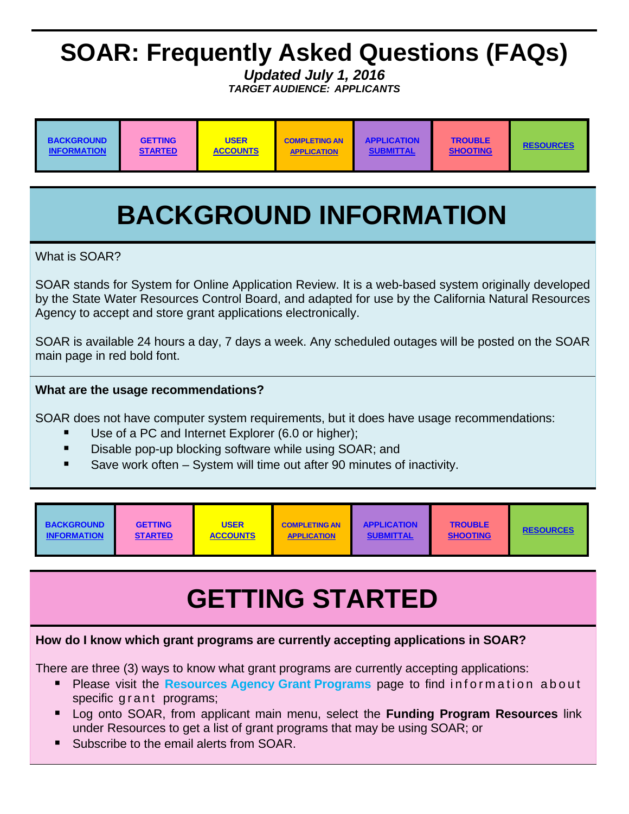# <span id="page-0-0"></span>**SOAR: Frequently Asked Questions (FAQs)**

*Updated July 1, 2016 TARGET AUDIENCE: APPLICANTS*

| <b>USER</b><br><b>APPLICATION</b><br><b>TROUBLE</b><br><b>BACKGROUND</b><br><b>GETTING</b><br><b>COMPLETING AN</b><br><b>ACCOUNTS</b><br><b>INFORMATION</b><br><b>SHOOTING</b><br><b>STARTED</b><br><b>SUBMITTAL</b><br><b>APPLICATION</b> | <b>RESOURCES</b> |
|--------------------------------------------------------------------------------------------------------------------------------------------------------------------------------------------------------------------------------------------|------------------|
|--------------------------------------------------------------------------------------------------------------------------------------------------------------------------------------------------------------------------------------------|------------------|

# **BACKGROUND INFORMATION**

What is SOAR?

SOAR stands for System for Online Application Review. It is a web-based system originally developed by the State Water Resources Control Board, and adapted for use by the California Natural Resources Agency to accept and store grant applications electronically.

SOAR is available 24 hours a day, 7 days a week. Any scheduled outages will be posted on the SOAR main page in red bold font.

# **What are the usage recommendations?**

SOAR does not have computer system requirements, but it does have usage recommendations:

- Use of a PC and Internet Explorer (6.0 or higher);
- Disable pop-up blocking software while using SOAR; and
- Save work often System will time out after 90 minutes of inactivity.

# **GETTING STARTED**

# **How do I know which grant programs are currently accepting applications in SOAR?**

There are three (3) ways to know what grant programs are currently accepting applications:

- Please visit the **Resources Agency Grant Programs** page to find information about specific grant programs;
- Log onto SOAR, from applicant main menu, select the **Funding Program Resources** link under Resources to get a list of grant programs that may be using SOAR; or
- Subscribe to the email alerts from SOAR.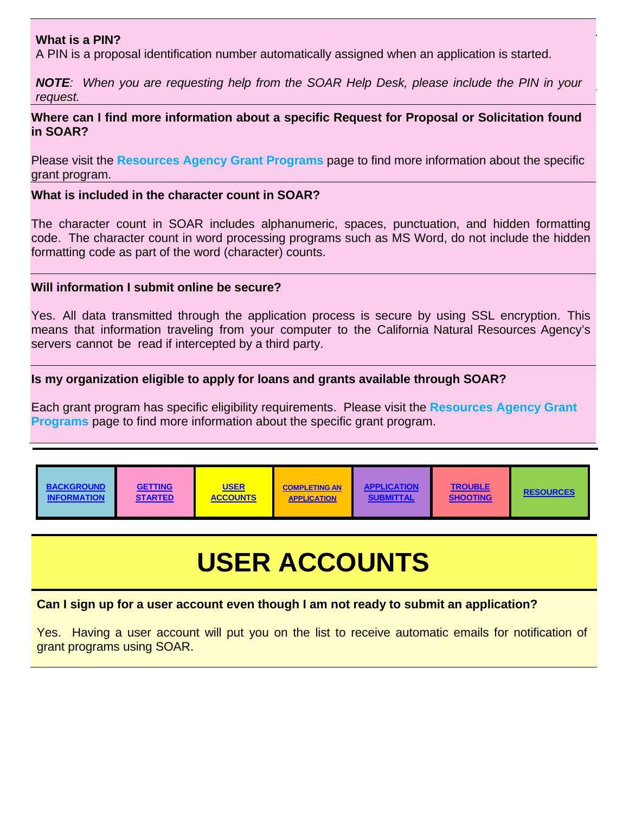#### <span id="page-1-0"></span>**What is a PIN?**

A PIN is a proposal identification number automatically assigned when an application is started.

*NOTE: When you are requesting help from the SOAR Help Desk, please include the PIN in your request.*

#### **Where can I find more information about a specific Request for Proposal or Solicitation found in SOAR?**

Please visit the **[Resources Agency Grant Programs](http://resources.ca.gov/bonds_and_grants/grant_programs/)** page to find more information about the specific grant program.

#### **What is included in the character count in SOAR?**

The character count in SOAR includes alphanumeric, spaces, punctuation, and hidden formatting code. The character count in word processing programs such as MS Word, do not include the hidden formatting code as part of the word (character) counts.

#### **Will information I submit online be secure?**

Yes. All data transmitted through the application process is secure by using SSL encryption. This means that information traveling from your computer to the California Natural Resources Agency's servers cannot be read if intercepted by a third party.

#### **Is my organization eligible to apply for loans and grants available through SOAR?**

Each grant program has specific eligibility requirements. Please visit the **[Resources Agency Grant](http://resources.ca.gov/bonds_and_grants/grant_programs/)  Programs** page to find more information about the specific grant program.

| <b>GETTING</b><br><b>BACKGROUND</b><br><b>STARTED</b><br><b>INFORMATION</b> | <b>USER</b><br><b>ACCOUNTS</b> | <b>COMPLETING AN</b><br><b>APPLICATION</b> | <b>APPLICATION</b><br><b>SUBMITTAL</b> | <b>TROUBLE</b><br><b>SHOOTING</b> | <b>RESOURCES</b> |
|-----------------------------------------------------------------------------|--------------------------------|--------------------------------------------|----------------------------------------|-----------------------------------|------------------|
|-----------------------------------------------------------------------------|--------------------------------|--------------------------------------------|----------------------------------------|-----------------------------------|------------------|

# **USER ACCOUNTS**

#### **Can I sign up for a user account even though I am not ready to submit an application?**

Yes. Having a user account will put you on the list to receive automatic emails for notification of grant programs using SOAR.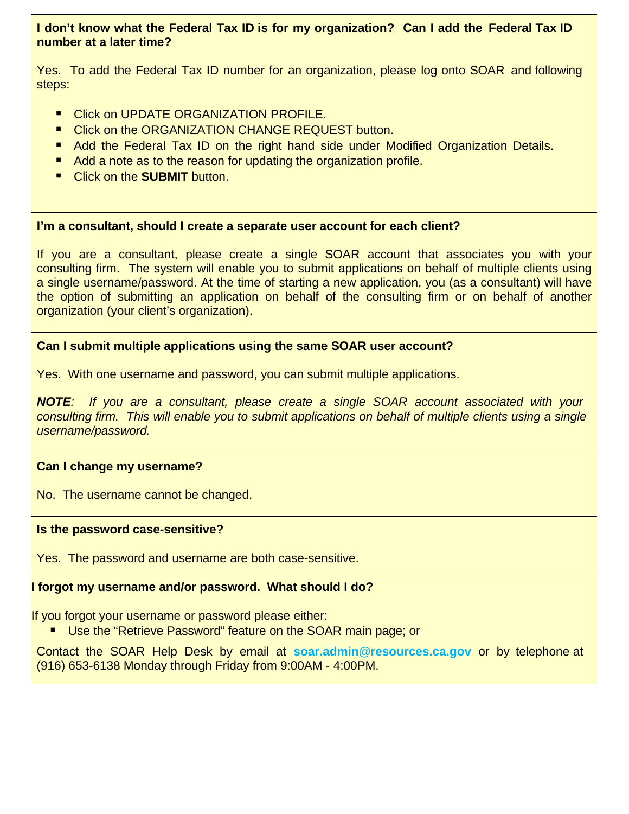# **I don't know what the Federal Tax ID is for my organization? Can I add the Federal Tax ID number at a later time?**

Yes. To add the Federal Tax ID number for an organization, please log onto SOAR and following steps:

- **Click on UPDATE ORGANIZATION PROFILE.**
- **E** Click on the ORGANIZATION CHANGE REQUEST button.
- **Add the Federal Tax ID on the right hand side under Modified Organization Details.**
- Add a note as to the reason for updating the organization profile.
- Click on the **SUBMIT** button.

#### **I'm a consultant, should I create a separate user account for each client?**

If you are a consultant, please create a single SOAR account that associates you with your consulting firm. The system will enable you to submit applications on behalf of multiple clients using a single username/password. At the time of starting a new application, you (as a consultant) will have the option of submitting an application on behalf of the consulting firm or on behalf of another organization (your client's organization).

#### **Can I submit multiple applications using the same SOAR user account?**

Yes. With one username and password, you can submit multiple applications.

*NOTE: If you are a consultant, please create a single SOAR account associated with your consulting firm. This will enable you to submit applications on behalf of multiple clients using a single username/password.*

#### **Can I change my username?**

No. The username cannot be changed.

#### **Is the password case-sensitive?**

Yes. The password and username are both case-sensitive.

# **I forgot my username and/or password. What should I do?**

If you forgot your username or password please either:

■ Use the "Retrieve Password" feature on the SOAR main page; or

Contact the SOAR Help Desk by email at **soar.admin@resources.ca.gov** or by telephone at (916) 653-6138 Monday through Friday from 9:00AM - 4:00PM.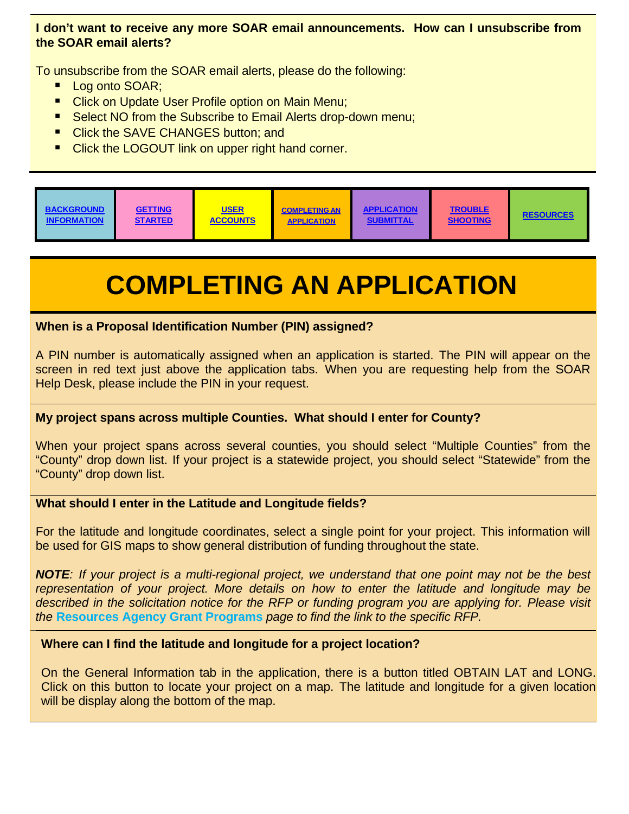# <span id="page-3-0"></span>**I don't want to receive any more SOAR email announcements. How can I unsubscribe from the SOAR email alerts?**

To unsubscribe from the SOAR email alerts, please do the following:

- **Log onto SOAR:**
- **Click on Update User Profile option on Main Menu;**
- Select NO from the Subscribe to Email Alerts drop-down menu;
- Click the SAVE CHANGES button: and
- **E** Click the LOGOUT link on upper right hand corner.



# **COMPLETING AN APPLICATION**

# **When is a Proposal Identification Number (PIN) assigned?**

A PIN number is automatically assigned when an application is started. The PIN will appear on the screen in red text just above the application tabs. When you are requesting help from the SOAR Help Desk, please include the PIN in your request.

# **My project spans across multiple Counties. What should I enter for County?**

When your project spans across several counties, you should select "Multiple Counties" from the "County" drop down list. If your project is a statewide project, you should select "Statewide" from the "County" drop down list.

# **What should I enter in the Latitude and Longitude fields?**

For the latitude and longitude coordinates, select a single point for your project. This information will be used for GIS maps to show general distribution of funding throughout the state.

*NOTE: If your project is a multi-regional project, we understand that one point may not be the best representation of your project. More details on how to enter the latitude and longitude may be described in the solicitation notice for the RFP or funding program you are applying for. Please visit the* **[Resources Agency Grant Programs](http://resources.ca.gov/bonds_and_grants/grant_programs/)** *page to find the link to the specific RFP.*

# **Where can I find the latitude and longitude for a project location?**

On the General Information tab in the application, there is a button titled OBTAIN LAT and LONG. Click on this button to locate your project on a map. The latitude and longitude for a given location will be display along the bottom of the map.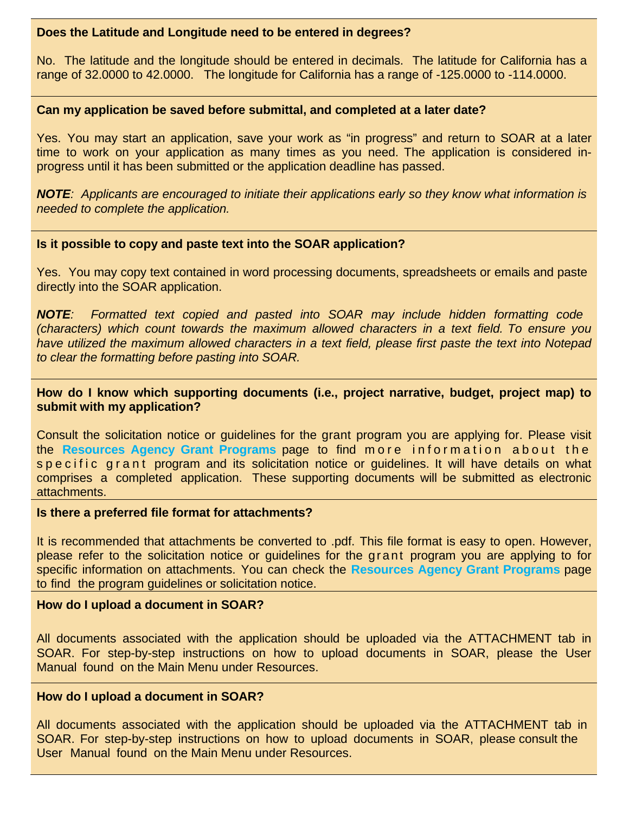#### **Does the Latitude and Longitude need to be entered in degrees?**

No. The latitude and the longitude should be entered in decimals. The latitude for California has a range of 32.0000 to 42.0000. The longitude for California has a range of -125.0000 to -114.0000.

### **Can my application be saved before submittal, and completed at a later date?**

Yes. You may start an application, save your work as "in progress" and return to SOAR at a later time to work on your application as many times as you need. The application is considered inprogress until it has been submitted or the application deadline has passed.

*NOTE: Applicants are encouraged to initiate their applications early so they know what information is needed to complete the application.*

#### **Is it possible to copy and paste text into the SOAR application?**

Yes. You may copy text contained in word processing documents, spreadsheets or emails and paste directly into the SOAR application.

*NOTE: Formatted text copied and pasted into SOAR may include hidden formatting code (characters) which count towards the maximum allowed characters in a text field. To ensure you have utilized the maximum allowed characters in a text field, please first paste the text into Notepad to clear the formatting before pasting into SOAR.*

### **How do I know which supporting documents (i.e., project narrative, budget, project map) to submit with my application?**

Consult the solicitation notice or guidelines for the grant program you are applying for. Please visit the **Resources Agency Grant Programs** page to find more information about the s p e c i f i c g r a n t program and its solicitation notice or quidelines. It will have details on what comprises a completed application. These supporting documents will be submitted as electronic attachments.

#### **Is there a preferred file format for attachments?**

It is recommended that attachments be converted to .pdf. This file format is easy to open. However, please refer to the solicitation notice or guidelines for the grant program you are applying to for specific information on attachments. You can check the **[Resources Agency Grant Programs](http://resources.ca.gov/bonds_and_grants/grant_programs/)** page to find the program guidelines or solicitation notice.

#### **How do I upload a document in SOAR?**

All documents associated with the application should be uploaded via the ATTACHMENT tab in SOAR. For step-by-step instructions on how to upload documents in SOAR, please the User Manual found on the Main Menu under Resources.

#### **How do I upload a document in SOAR?**

All documents associated with the application should be uploaded via the ATTACHMENT tab in SOAR. For step-by-step instructions on how to upload documents in SOAR, please consult the User Manual found on the Main Menu under Resources.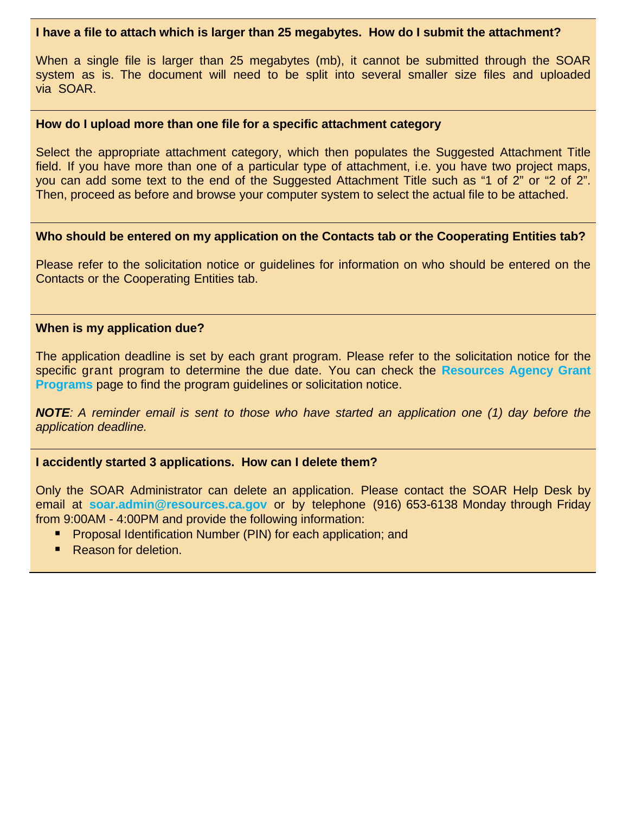#### **I have a file to attach which is larger than 25 megabytes. How do I submit the attachment?**

When a single file is larger than 25 megabytes (mb), it cannot be submitted through the SOAR system as is. The document will need to be split into several smaller size files and uploaded via SOAR.

#### **How do I upload more than one file for a specific attachment category**

Select the appropriate attachment category, which then populates the Suggested Attachment Title field. If you have more than one of a particular type of attachment, i.e. you have two project maps, you can add some text to the end of the Suggested Attachment Title such as "1 of 2" or "2 of 2". Then, proceed as before and browse your computer system to select the actual file to be attached.

#### **Who should be entered on my application on the Contacts tab or the Cooperating Entities tab?**

Please refer to the solicitation notice or guidelines for information on who should be entered on the Contacts or the Cooperating Entities tab.

#### **When is my application due?**

The application deadline is set by each grant program. Please refer to the solicitation notice for the specific grant program to determine the due date. You can check the **[Resources Agency Grant](http://resources.ca.gov/bonds_and_grants/grant_programs/) Programs** page to find the program guidelines or solicitation notice.

*NOTE: A reminder email is sent to those who have started an application one (1) day before the application deadline.*

# **I accidently started 3 applications. How can I delete them?**

Only the SOAR Administrator can delete an application. Please contact the SOAR Help Desk by email at **soar.admin@resources.ca.gov** or by telephone (916) 653-6138 Monday through Friday from 9:00AM - 4:00PM and provide the following information:

- **Proposal Identification Number (PIN) for each application; and**
- Reason for deletion.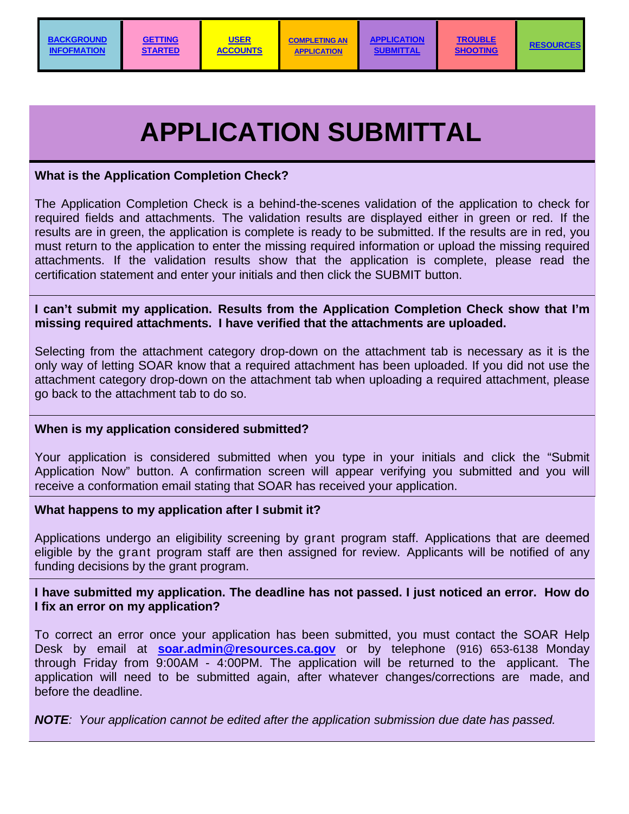# **APPLICATION SUBMITTAL**

# <span id="page-6-0"></span>**What is the Application Completion Check?**

The Application Completion Check is a behind-the-scenes validation of the application to check for required fields and attachments. The validation results are displayed either in green or red. If the results are in green, the application is complete is ready to be submitted. If the results are in red, you must return to the application to enter the missing required information or upload the missing required attachments. If the validation results show that the application is complete, please read the certification statement and enter your initials and then click the SUBMIT button.

# **I can't submit my application. Results from the Application Completion Check show that I'm missing required attachments. I have verified that the attachments are uploaded.**

Selecting from the attachment category drop-down on the attachment tab is necessary as it is the only way of letting SOAR know that a required attachment has been uploaded. If you did not use the attachment category drop-down on the attachment tab when uploading a required attachment, please go back to the attachment tab to do so.

# **When is my application considered submitted?**

Your application is considered submitted when you type in your initials and click the "Submit Application Now" button. A confirmation screen will appear verifying you submitted and you will receive a conformation email stating that SOAR has received your application.

# **What happens to my application after I submit it?**

Applications undergo an eligibility screening by grant program staff. Applications that are deemed eligible by the grant program staff are then assigned for review. Applicants will be notified of any funding decisions by the grant program.

# **I have submitted my application. The deadline has not passed. I just noticed an error. How do I fix an error on my application?**

To correct an error once your application has been submitted, you must contact the SOAR Help Desk by email at **soar.admin@resources.ca.gov** or by telephone (916) 653-6138 Monday through Friday from 9:00AM - 4:00PM. The application will be returned to the applicant. The application will need to be submitted again, after whatever changes/corrections are made, and before the deadline.

*NOTE: Your application cannot be edited after the application submission due date has passed.*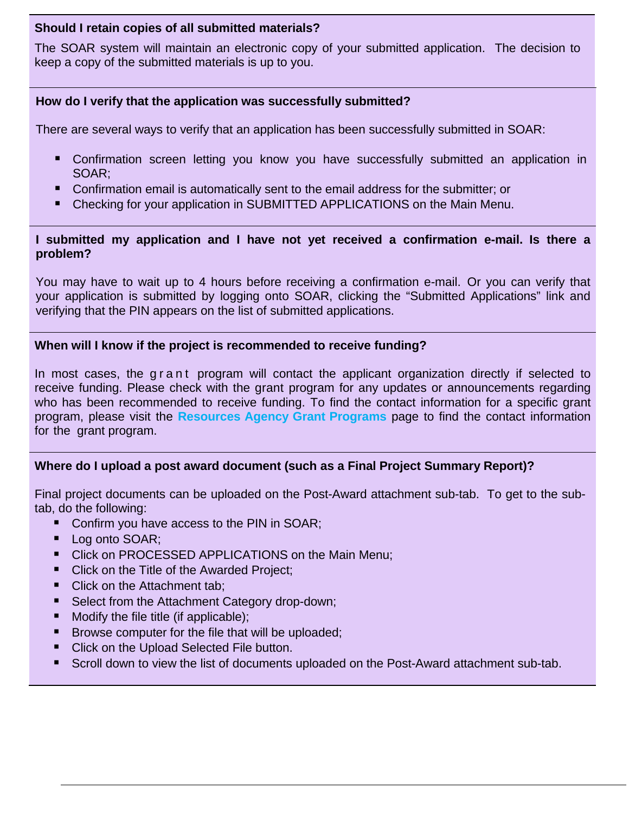# **Should I retain copies of all submitted materials?**

The SOAR system will maintain an electronic copy of your submitted application. The decision to keep a copy of the submitted materials is up to you.

# **How do I verify that the application was successfully submitted?**

There are several ways to verify that an application has been successfully submitted in SOAR:

- **E** Confirmation screen letting you know you have successfully submitted an application in SOAR;
- Confirmation email is automatically sent to the email address for the submitter; or
- Checking for your application in SUBMITTED APPLICATIONS on the Main Menu.

### **I submitted my application and I have not yet received a confirmation e-mail. Is there a problem?**

You may have to wait up to 4 hours before receiving a confirmation e-mail. Or you can verify that your application is submitted by logging onto SOAR, clicking the "Submitted Applications" link and verifying that the PIN appears on the list of submitted applications.

# **When will I know if the project is recommended to receive funding?**

In most cases, the g r a n t program will contact the applicant organization directly if selected to receive funding. Please check with the grant program for any updates or announcements regarding who has been recommended to receive funding. To find the contact information for a specific grant program, please visit the **[Resources Agency Grant Programs](http://resources.ca.gov/bonds_and_grants/grant_programs/)** page to find the contact information for the grant program.

# **Where do I upload a post award document (such as a Final Project Summary Report)?**

Final project documents can be uploaded on the Post-Award attachment sub-tab. To get to the subtab, do the following:

- Confirm you have access to the PIN in SOAR;
- **Log onto SOAR;**
- **Click on PROCESSED APPLICATIONS on the Main Menu;**
- Click on the Title of the Awarded Project;
- Click on the Attachment tab;
- Select from the Attachment Category drop-down;
- $\blacksquare$  Modify the file title (if applicable);
- **Browse computer for the file that will be uploaded;**
- Click on the Upload Selected File button.
- Scroll down to view the list of documents uploaded on the Post-Award attachment sub-tab.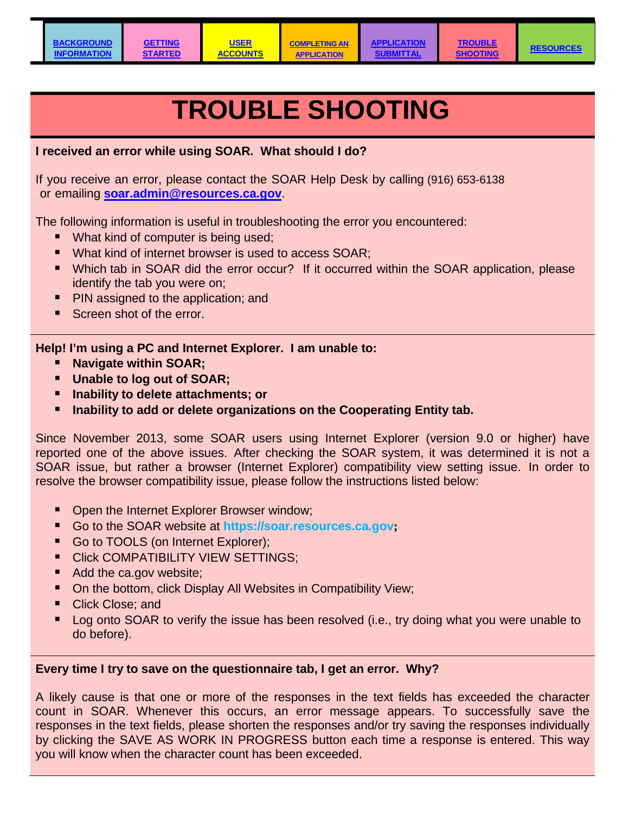**TROUBLE** 

# **TROUBLE SHOOTING**

<span id="page-8-0"></span>**I received an error while using SOAR. What should I do?**

If you receive an error, please contact the SOAR Help Desk by calling (916) 653-6138 or emailing **soar.admin@resources.ca.gov**.

The following information is useful in troubleshooting the error you encountered:

- **What kind of computer is being used;**
- What kind of internet browser is used to access SOAR;
- Which tab in SOAR did the error occur? If it occurred within the SOAR application, please identify the tab you were on;
- PIN assigned to the application; and
- Screen shot of the error.

# **Help! I'm using a PC and Internet Explorer. I am unable to:**

- **Navigate within SOAR;**
- **Unable to log out of SOAR;**
- **Inability to delete attachments; or**
- **Inability to add or delete organizations on the Cooperating Entity tab.**

Since November 2013, some SOAR users using Internet Explorer (version 9.0 or higher) have reported one of the above issues. After checking the SOAR system, it was determined it is not a SOAR issue, but rather a browser (Internet Explorer) compatibility view setting issue. In order to resolve the browser compatibility issue, please follow the instructions listed below:

- Open the Internet Explorer Browser window;
- Go to the SOAR website at **https://soar.resources.ca.gov;**
- Go to TOOLS (on Internet Explorer);
- Click COMPATIBILITY VIEW SETTINGS;
- Add the ca.gov website;
- On the bottom, click Display All Websites in Compatibility View;
- Click Close: and
- **Log onto SOAR to verify the issue has been resolved (i.e., try doing what you were unable to** do before).

# **Every time I try to save on the questionnaire tab, I get an error. Why?**

A likely cause is that one or more of the responses in the text fields has exceeded the character count in SOAR. Whenever this occurs, an error message appears. To successfully save the responses in the text fields, please shorten the responses and/or try saving the responses individually by clicking the SAVE AS WORK IN PROGRESS button each time a response is entered. This way you will know when the character count has been exceeded.